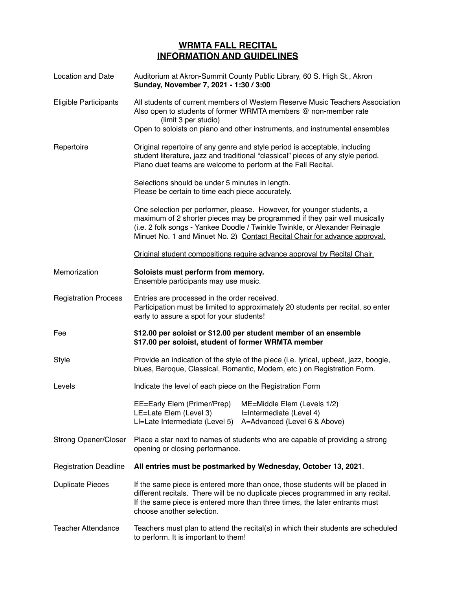## **WRMTA FALL RECITAL INFORMATION AND GUIDELINES**

| <b>Location and Date</b>     | Auditorium at Akron-Summit County Public Library, 60 S. High St., Akron<br>Sunday, November 7, 2021 - 1:30 / 3:00                                                                                                                                                                                               |
|------------------------------|-----------------------------------------------------------------------------------------------------------------------------------------------------------------------------------------------------------------------------------------------------------------------------------------------------------------|
| <b>Eligible Participants</b> | All students of current members of Western Reserve Music Teachers Association<br>Also open to students of former WRMTA members @ non-member rate<br>(limit 3 per studio)                                                                                                                                        |
|                              | Open to soloists on piano and other instruments, and instrumental ensembles                                                                                                                                                                                                                                     |
| Repertoire                   | Original repertoire of any genre and style period is acceptable, including<br>student literature, jazz and traditional "classical" pieces of any style period.<br>Piano duet teams are welcome to perform at the Fall Recital.                                                                                  |
|                              | Selections should be under 5 minutes in length.<br>Please be certain to time each piece accurately.                                                                                                                                                                                                             |
|                              | One selection per performer, please. However, for younger students, a<br>maximum of 2 shorter pieces may be programmed if they pair well musically<br>(i.e. 2 folk songs - Yankee Doodle / Twinkle Twinkle, or Alexander Reinagle<br>Minuet No. 1 and Minuet No. 2) Contact Recital Chair for advance approval. |
|                              | Original student compositions require advance approval by Recital Chair.                                                                                                                                                                                                                                        |
| Memorization                 | Soloists must perform from memory.<br>Ensemble participants may use music.                                                                                                                                                                                                                                      |
| <b>Registration Process</b>  | Entries are processed in the order received.<br>Participation must be limited to approximately 20 students per recital, so enter<br>early to assure a spot for your students!                                                                                                                                   |
| Fee                          | \$12.00 per soloist or \$12.00 per student member of an ensemble<br>\$17.00 per soloist, student of former WRMTA member                                                                                                                                                                                         |
| <b>Style</b>                 | Provide an indication of the style of the piece (i.e. lyrical, upbeat, jazz, boogie,<br>blues, Baroque, Classical, Romantic, Modern, etc.) on Registration Form.                                                                                                                                                |
| Levels                       | Indicate the level of each piece on the Registration Form                                                                                                                                                                                                                                                       |
|                              | EE=Early Elem (Primer/Prep) ME=Middle Elem (Levels 1/2)<br>LE=Late Elem (Level 3)<br>I=Intermediate (Level 4)<br>LI=Late Intermediate (Level 5)<br>A=Advanced (Level 6 & Above)                                                                                                                                 |
| <b>Strong Opener/Closer</b>  | Place a star next to names of students who are capable of providing a strong<br>opening or closing performance.                                                                                                                                                                                                 |
| <b>Registration Deadline</b> | All entries must be postmarked by Wednesday, October 13, 2021.                                                                                                                                                                                                                                                  |
| <b>Duplicate Pieces</b>      | If the same piece is entered more than once, those students will be placed in<br>different recitals. There will be no duplicate pieces programmed in any recital.<br>If the same piece is entered more than three times, the later entrants must<br>choose another selection.                                   |
| <b>Teacher Attendance</b>    | Teachers must plan to attend the recital(s) in which their students are scheduled<br>to perform. It is important to them!                                                                                                                                                                                       |